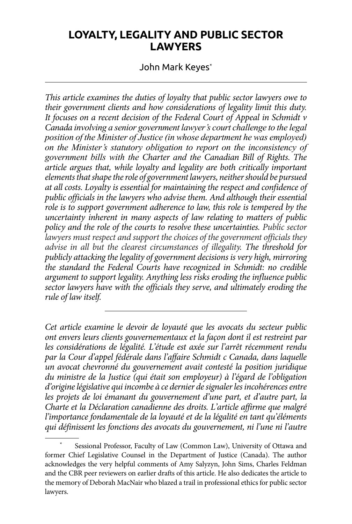# **LOYALTY, LEGALITY AND PUBLIC SECTOR LAWYERS**

### John Mark Keyes\*

*This article examines the duties of loyalty that public sector lawyers owe to their government clients and how considerations of legality limit this duty. It focuses on a recent decision of the Federal Court of Appeal in Schmidt v Canada involving a senior government lawyer's court challenge to the legal position of the Minister of Justice (in whose department he was employed) on the Minister's statutory obligation to report on the inconsistency of government bills with the Charter and the Canadian Bill of Rights. The article argues that, while loyalty and legality are both critically important elements that shape the role of government lawyers, neither should be pursued at all costs. Loyalty is essential for maintaining the respect and confidence of public officials in the lawyers who advise them. And although their essential role is to support government adherence to law, this role is tempered by the uncertainty inherent in many aspects of law relating to matters of public policy and the role of the courts to resolve these uncertainties. Public sector lawyers must respect and support the choices of the government officials they advise in all but the clearest circumstances of illegality. The threshold for publicly attacking the legality of government decisions is very high, mirroring the standard the Federal Courts have recognized in Schmidt: no credible argument to support legality. Anything less risks eroding the influence public sector lawyers have with the officials they serve, and ultimately eroding the rule of law itself.*

*Cet article examine le devoir de loyauté que les avocats du secteur public ont envers leurs clients gouvernementaux et la façon dont il est restreint par*  les considérations de légalité. L'étude est axée sur l'arrêt récemment rendu *par la Cour d'appel fédérale dans l'affaire Schmidt c Canada, dans laquelle un avocat chevronné du gouvernement avait contesté la position juridique du ministre de la Justice (qui était son employeur) à l'égard de l'obligation d'origine législative qui incombe à ce dernier de signaler les incohérences entre les projets de loi émanant du gouvernement d'une part, et d'autre part, la Charte et la Déclaration canadienne des droits. L'article affirme que malgré l'importance fondamentale de la loyauté et de la légalité en tant qu'éléments qui définissent les fonctions des avocats du gouvernement, ni l'une ni l'autre* 

Sessional Professor, Faculty of Law (Common Law), University of Ottawa and former Chief Legislative Counsel in the Department of Justice (Canada). The author acknowledges the very helpful comments of Amy Salyzyn, John Sims, Charles Feldman and the CBR peer reviewers on earlier drafts of this article. He also dedicates the article to the memory of Deborah MacNair who blazed a trail in professional ethics for public sector lawyers.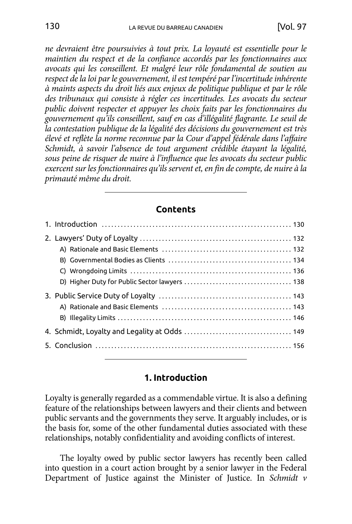*ne devraient être poursuivies à tout prix. La loyauté est essentielle pour le maintien du respect et de la confiance accordés par les fonctionnaires aux avocats qui les conseillent. Et malgré leur rôle fondamental de soutien au respect de la loi par le gouvernement, il est tempéré par l'incertitude inhérente à maints aspects du droit liés aux enjeux de politique publique et par le rôle des tribunaux qui consiste à régler ces incertitudes. Les avocats du secteur public doivent respecter et appuyer les choix faits par les fonctionnaires du gouvernement qu'ils conseillent, sauf en cas d'illégalité flagrante. Le seuil de la contestation publique de la légalité des décisions du gouvernement est très élevé et reflète la norme reconnue par la Cour d'appel fédérale dans l'affaire Schmidt, à savoir l'absence de tout argument crédible étayant la légalité, sous peine de risquer de nuire à l'influence que les avocats du secteur public exercent sur les fonctionnaires qu'ils servent et, en fin de compte, de nuire à la primauté même du droit.*

#### **Contents**

#### **1. Introduction**

Loyalty is generally regarded as a commendable virtue. It is also a defining feature of the relationships between lawyers and their clients and between public servants and the governments they serve. It arguably includes, or is the basis for, some of the other fundamental duties associated with these relationships, notably confidentiality and avoiding conflicts of interest.

The loyalty owed by public sector lawyers has recently been called into question in a court action brought by a senior lawyer in the Federal Department of Justice against the Minister of Justice. In *Schmidt v*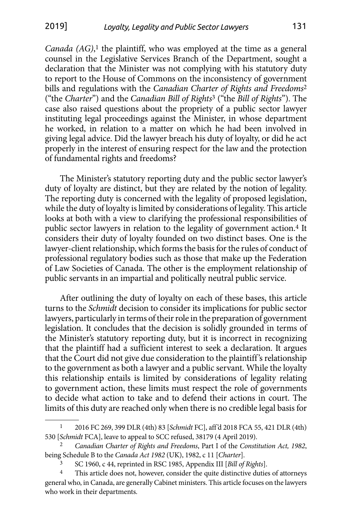*Canada (AG)*, 1 the plaintiff, who was employed at the time as a general counsel in the Legislative Services Branch of the Department, sought a declaration that the Minister was not complying with his statutory duty to report to the House of Commons on the inconsistency of government bills and regulations with the *Canadian Charter of Rights and Freedoms*<sup>2</sup> ("the *Charter*") and the *Canadian Bill of Rights*3 ("the *Bill of Rights*"). The case also raised questions about the propriety of a public sector lawyer instituting legal proceedings against the Minister, in whose department he worked, in relation to a matter on which he had been involved in giving legal advice. Did the lawyer breach his duty of loyalty, or did he act properly in the interest of ensuring respect for the law and the protection of fundamental rights and freedoms?

The Minister's statutory reporting duty and the public sector lawyer's duty of loyalty are distinct, but they are related by the notion of legality. The reporting duty is concerned with the legality of proposed legislation, while the duty of loyalty is limited by considerations of legality. This article looks at both with a view to clarifying the professional responsibilities of public sector lawyers in relation to the legality of government action.4 It considers their duty of loyalty founded on two distinct bases. One is the lawyer-client relationship, which forms the basis for the rules of conduct of professional regulatory bodies such as those that make up the Federation of Law Societies of Canada. The other is the employment relationship of public servants in an impartial and politically neutral public service.

After outlining the duty of loyalty on each of these bases, this article turns to the *Schmidt* decision to consider its implications for public sector lawyers, particularly in terms of their role in the preparation of government legislation. It concludes that the decision is solidly grounded in terms of the Minister's statutory reporting duty, but it is incorrect in recognizing that the plaintiff had a sufficient interest to seek a declaration. It argues that the Court did not give due consideration to the plaintiff's relationship to the government as both a lawyer and a public servant. While the loyalty this relationship entails is limited by considerations of legality relating to government action, these limits must respect the role of governments to decide what action to take and to defend their actions in court. The limits of this duty are reached only when there is no credible legal basis for

<sup>1</sup> 2016 FC 269, 399 DLR (4th) 83 [*Schmidt* FC], aff'd 2018 FCA 55, 421 DLR (4th) 530 [*Schmidt* FCA], leave to appeal to SCC refused, 38179 (4 April 2019).

<sup>2</sup> *Canadian Charter of Rights and Freedoms*, Part I of the *Constitution Act, 1982*, being Schedule B to the *Canada Act 1982* (UK), 1982, c 11 [*Charter*].

<sup>3</sup> SC 1960, c 44, reprinted in RSC 1985, Appendix III [*Bill of Rights*].

This article does not, however, consider the quite distinctive duties of attorneys general who, in Canada, are generally Cabinet ministers. This article focuses on the lawyers who work in their departments.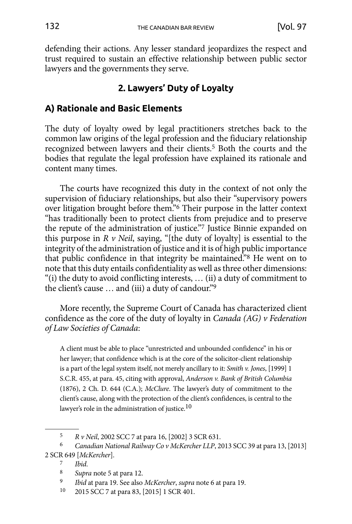<span id="page-3-0"></span>defending their actions. Any lesser standard jeopardizes the respect and trust required to sustain an effective relationship between public sector lawyers and the governments they serve.

# **2. Lawyers' Duty of Loyalty**

# **A) Rationale and Basic Elements**

The duty of loyalty owed by legal practitioners stretches back to the common law origins of the legal profession and the fiduciary relationship recognized between lawyers and their clients.5 Both the courts and the bodies that regulate the legal profession have explained its rationale and content many times.

The courts have recognized this duty in the context of not only the supervision of fiduciary relationships, but also their "supervisory powers over litigation brought before them."6 Their purpose in the latter context "has traditionally been to protect clients from prejudice and to preserve the repute of the administration of justice."7 Justice Binnie expanded on this purpose in *R v Neil*, saying, "[the duty of loyalty] is essential to the integrity of the administration of justice and it is of high public importance that public confidence in that integrity be maintained."8 He went on to note that this duty entails confidentiality as well as three other dimensions: "(i) the duty to avoid conflicting interests, … (ii) a duty of commitment to the client's cause … and (iii) a duty of candour."9

More recently, the Supreme Court of Canada has characterized client confidence as the core of the duty of loyalty in *Canada (AG) v Federation of Law Societies of Canada*:

A client must be able to place "unrestricted and unbounded confidence" in his or her lawyer; that confidence which is at the core of the solicitor-client relationship is a part of the legal system itself, not merely ancillary to it: *Smith v. Jones*, [1999] 1 S.C.R. 455, at para. 45, citing with approval, *Anderson v. Bank of British Columbia* (1876), 2 Ch. D. 644 (C.A.); *McClure*. The lawyer's duty of commitment to the client's cause, along with the protection of the client's confidences, is central to the lawyer's role in the administration of justice.10

<sup>5</sup> *R v Neil*, 2002 SCC 7 at para 16, [2002] 3 SCR 631.

<sup>6</sup> *Canadian National Railway Co v McKercher LLP*, 2013 SCC 39 at para 13, [2013] 2 SCR 649 [*McKercher*].

<sup>7</sup> *Ibid*.

<sup>8</sup> *Supra* note 5 at para 12.

<sup>9</sup> *Ibid* at para 19. See also *McKercher*, *supra* note 6 at para 19.

<sup>10</sup> 2015 SCC 7 at para 83, [2015] 1 SCR 401.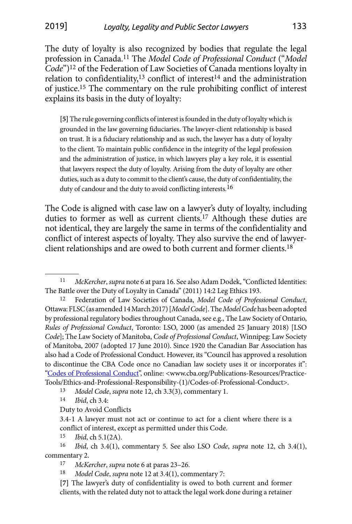The duty of loyalty is also recognized by bodies that regulate the legal profession in Canada.11 The *Model Code of Professional Conduct* ("*Model Code*")12 of the Federation of Law Societies of Canada mentions loyalty in relation to confidentiality,<sup>13</sup> conflict of interest<sup>14</sup> and the administration of justice.15 The commentary on the rule prohibiting conflict of interest explains its basis in the duty of loyalty:

**[5]** The rule governing conflicts of interest is founded in the duty of loyalty which is grounded in the law governing fiduciaries. The lawyer-client relationship is based on trust. It is a fiduciary relationship and as such, the lawyer has a duty of loyalty to the client. To maintain public confidence in the integrity of the legal profession and the administration of justice, in which lawyers play a key role, it is essential that lawyers respect the duty of loyalty. Arising from the duty of loyalty are other duties, such as a duty to commit to the client's cause, the duty of confidentiality, the duty of candour and the duty to avoid conflicting interests.<sup>16</sup>

The Code is aligned with case law on a lawyer's duty of loyalty, including duties to former as well as current clients.17 Although these duties are not identical, they are largely the same in terms of the confidentiality and conflict of interest aspects of loyalty. They also survive the end of lawyerclient relationships and are owed to both current and former clients.18

 $\frac{15}{16}$  *Ibid*, ch 5.1(2A).

<sup>11</sup> *McKercher*, *supra* note 6 at para 16. See also Adam Dodek, "Conflicted Identities: The Battle over the Duty of Loyalty in Canada" (2011) 14:2 Leg Ethics 193. 12 Federation of Law Societies of Canada, *Model Code of Professional Conduct*,

Ottawa: FLSC (as amended 14 March 2017) [*Model Code*]. The *Model Code* has been adopted by professional regulatory bodies throughout Canada, see e.g., The Law Society of Ontario, *Rules of Professional Conduct*, Toronto: LSO, 2000 (as amended 25 January 2018) [LSO *Code*]; The Law Society of Manitoba, *Code of Professional Conduct*, Winnipeg: Law Society of Manitoba, 2007 (adopted 17 June 2010). Since 1920 the Canadian Bar Association has also had a Code of Professional Conduct. However, its "Council has approved a resolution to discontinue the CBA Code once no Canadian law society uses it or incorporates it": ["Codes of Professional Conduct"](http://www.cba.org/Publications-Resources/Practice-Tools/Ethics-and-Professional-Responsibility-%281%29/Codes-of-Professional-Conduct), online: <www.cba.org/Publications-Resources/Practice-Tools/Ethics-and-Professional-Responsibility-(1)/Codes-of-Professional-Conduct>.

<sup>13</sup> *Model Code*, *supra* note 12, ch 3.3(3), commentary 1.

<sup>14</sup> *Ibid*, ch 3.4:

Duty to Avoid Conflicts

<sup>3.4-1</sup> A lawyer must not act or continue to act for a client where there is a conflict of interest, except as permitted under this Code.

<sup>16</sup> *Ibid*, ch 3.4(1), commentary 5. See also LSO *Code*, *supra* note 12, ch 3.4(1), commentary 2.

<sup>17</sup> *McKercher*, *supra* note 6 at paras 23–26.

*Model Code, supra note 12 at 3.4(1), commentary 7:* 

**<sup>[7]</sup>** The lawyer's duty of confidentiality is owed to both current and former clients, with the related duty not to attack the legal work done during a retainer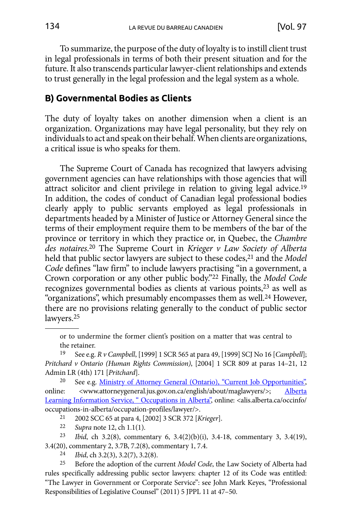<span id="page-5-0"></span>To summarize, the purpose of the duty of loyalty is to instill client trust in legal professionals in terms of both their present situation and for the future. It also transcends particular lawyer-client relationships and extends to trust generally in the legal profession and the legal system as a whole.

## **B) Governmental Bodies as Clients**

The duty of loyalty takes on another dimension when a client is an organization. Organizations may have legal personality, but they rely on individuals to act and speak on their behalf. When clients are organizations, a critical issue is who speaks for them.

The Supreme Court of Canada has recognized that lawyers advising government agencies can have relationships with those agencies that will attract solicitor and client privilege in relation to giving legal advice.19 In addition, the codes of conduct of Canadian legal professional bodies clearly apply to public servants employed as legal professionals in departments headed by a Minister of Justice or Attorney General since the terms of their employment require them to be members of the bar of the province or territory in which they practice or, in Quebec, the *Chambre des notaires*. 20 The Supreme Court in *Krieger v Law Society of Alberta* held that public sector lawyers are subject to these codes,<sup>21</sup> and the *Model Code* defines "law firm" to include lawyers practising "in a government, a Crown corporation or any other public body."22 Finally, the *Model Code* recognizes governmental bodies as clients at various points,23 as well as "organizations", which presumably encompasses them as well.24 However, there are no provisions relating generally to the conduct of public sector lawyers.25

or to undermine the former client's position on a matter that was central to the retainer.

19 See e.g. *R v Campbell*, [1999] 1 SCR 565 at para 49, [1999] SCJ No 16 [*Campbell*]; *Pritchard v Ontario (Human Rights Commission)*, [2004] 1 SCR 809 at paras 14–21, 12 Admin LR (4th) 171 [*Pritchard*].

<sup>20</sup> See e.g. [Ministry of Attorney General \(Ontario\), "Current Job Opportunities",](http://www.attorneygeneral.jus.gov.on.ca/english/about/maglawyers/) online: <www.attorneygeneral.jus.gov.on.ca/english/about/maglawyers/>; [Alberta](http://alis.alberta.ca/occinfo/occupations-in-alberta/occupation-profiles/lawyer/) [Learning Information Service, " Occupations in Alberta",](http://alis.alberta.ca/occinfo/occupations-in-alberta/occupation-profiles/lawyer/) online: <alis.alberta.ca/occinfo/ occupations-in-alberta/occupation-profiles/lawyer/>. 21 2002 SCC 65 at para 4, [2002] 3 SCR 372 [*Krieger*].

22 *Supra* note 12, ch 1.1(1).

23 *Ibid*, ch 3.2(8), commentary 6, 3.4(2)(b)(i), 3.4-18, commentary 3, 3.4(19), 3.4(20), commentary 2, 3.7B, 7.2(8), commentary 1, 7.4. 24 *Ibid*, ch 3.2(3), 3.2(7), 3.2(8).

25 Before the adoption of the current *Model Code*, the Law Society of Alberta had rules specifically addressing public sector lawyers: chapter 12 of its Code was entitled: "The Lawyer in Government or Corporate Service": see John Mark Keyes, "Professional Responsibilities of Legislative Counsel" (2011) 5 JPPL 11 at 47–50.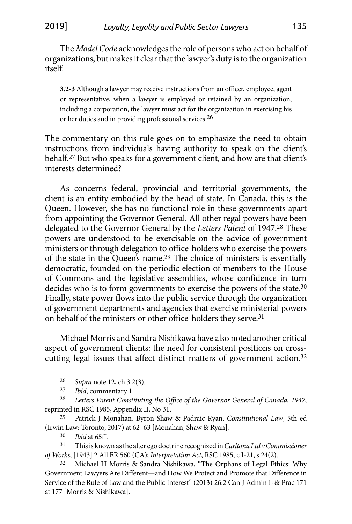The *Model Code* acknowledges the role of persons who act on behalf of organizations, but makes it clear that the lawyer's duty is to the organization itself:

**3.2-3** Although a lawyer may receive instructions from an officer, employee, agent or representative, when a lawyer is employed or retained by an organization, including a corporation, the lawyer must act for the organization in exercising his or her duties and in providing professional services.26

The commentary on this rule goes on to emphasize the need to obtain instructions from individuals having authority to speak on the client's behalf.27 But who speaks for a government client, and how are that client's interests determined?

As concerns federal, provincial and territorial governments, the client is an entity embodied by the head of state. In Canada, this is the Queen. However, she has no functional role in these governments apart from appointing the Governor General. All other regal powers have been delegated to the Governor General by the *Letters Patent* of 1947.28 These powers are understood to be exercisable on the advice of government ministers or through delegation to office-holders who exercise the powers of the state in the Queen's name.29 The choice of ministers is essentially democratic, founded on the periodic election of members to the House of Commons and the legislative assemblies, whose confidence in turn decides who is to form governments to exercise the powers of the state.30 Finally, state power flows into the public service through the organization of government departments and agencies that exercise ministerial powers on behalf of the ministers or other office-holders they serve.31

Michael Morris and Sandra Nishikawa have also noted another critical aspect of government clients: the need for consistent positions on crosscutting legal issues that affect distinct matters of government action.32

29 Patrick J Monahan, Byron Shaw & Padraic Ryan, *Constitutional Law*, 5th ed (Irwin Law: Toronto, 2017) at 62–63 [Monahan, Shaw & Ryan]*.*

Ibid at 65ff.

31 This is known as the alter ego doctrine recognized in *Carltona Ltd v Commissioner of Works*, [1943] 2 All ER 560 (CA); *Interpretation Act*, RSC 1985, c I-21, s 24(2).

<sup>26</sup> *Supra* note 12, ch 3.2(3).

*Ibid*, commentary 1.

<sup>28</sup> *Letters Patent Constituting the Office of the Governor General of Canada, 1947*, reprinted in RSC 1985, Appendix II, No 31.

<sup>32</sup> Michael H Morris & Sandra Nishikawa, "The Orphans of Legal Ethics: Why Government Lawyers Are Different—and How We Protect and Promote that Difference in Service of the Rule of Law and the Public Interest" (2013) 26:2 Can J Admin L & Prac 171 at 177 [Morris & Nishikawa].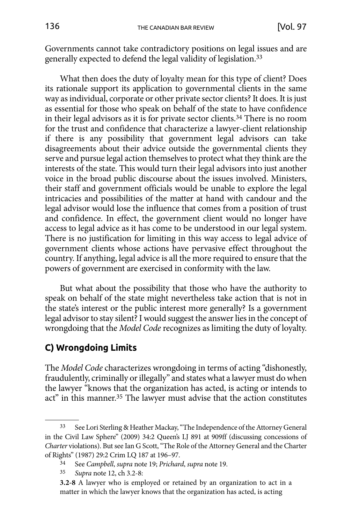<span id="page-7-0"></span>Governments cannot take contradictory positions on legal issues and are generally expected to defend the legal validity of legislation.33

What then does the duty of loyalty mean for this type of client? Does its rationale support its application to governmental clients in the same way as individual, corporate or other private sector clients? It does. It is just as essential for those who speak on behalf of the state to have confidence in their legal advisors as it is for private sector clients.34 There is no room for the trust and confidence that characterize a lawyer-client relationship if there is any possibility that government legal advisors can take disagreements about their advice outside the governmental clients they serve and pursue legal action themselves to protect what they think are the interests of the state. This would turn their legal advisors into just another voice in the broad public discourse about the issues involved. Ministers, their staff and government officials would be unable to explore the legal intricacies and possibilities of the matter at hand with candour and the legal advisor would lose the influence that comes from a position of trust and confidence. In effect, the government client would no longer have access to legal advice as it has come to be understood in our legal system. There is no justification for limiting in this way access to legal advice of government clients whose actions have pervasive effect throughout the country. If anything, legal advice is all the more required to ensure that the powers of government are exercised in conformity with the law.

But what about the possibility that those who have the authority to speak on behalf of the state might nevertheless take action that is not in the state's interest or the public interest more generally? Is a government legal advisor to stay silent? I would suggest the answer lies in the concept of wrongdoing that the *Model Code* recognizes as limiting the duty of loyalty.

# **C) Wrongdoing Limits**

The *Model Code* characterizes wrongdoing in terms of acting "dishonestly, fraudulently, criminally or illegally" and states what a lawyer must do when the lawyer "knows that the organization has acted, is acting or intends to act" in this manner.35 The lawyer must advise that the action constitutes

<sup>33</sup> See Lori Sterling & Heather Mackay, "The Independence of the Attorney General in the Civil Law Sphere" (2009) 34:2 Queen's LJ 891 at 909ff (discussing concessions of *Charter* violations). But see Ian G Scott, "The Role of the Attorney General and the Charter of Rights" (1987) 29:2 Crim LQ 187 at 196–97.

<sup>34</sup> See *Campbell*, *supra* note 19; *Prichard*, *supra* note 19.

<sup>35</sup> *Supra* note 12, ch 3.2-8:

**<sup>3.2-8</sup>** A lawyer who is employed or retained by an organization to act in a matter in which the lawyer knows that the organization has acted, is acting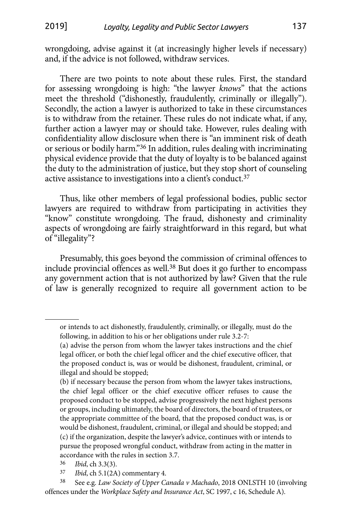wrongdoing, advise against it (at increasingly higher levels if necessary) and, if the advice is not followed, withdraw services.

There are two points to note about these rules. First, the standard for assessing wrongdoing is high: "the lawyer *knows*" that the actions meet the threshold ("dishonestly, fraudulently, criminally or illegally"). Secondly, the action a lawyer is authorized to take in these circumstances is to withdraw from the retainer. These rules do not indicate what, if any, further action a lawyer may or should take. However, rules dealing with confidentiality allow disclosure when there is "an imminent risk of death or serious or bodily harm."36 In addition, rules dealing with incriminating physical evidence provide that the duty of loyalty is to be balanced against the duty to the administration of justice, but they stop short of counseling active assistance to investigations into a client's conduct.37

Thus, like other members of legal professional bodies, public sector lawyers are required to withdraw from participating in activities they "know" constitute wrongdoing. The fraud, dishonesty and criminality aspects of wrongdoing are fairly straightforward in this regard, but what of "illegality"?

Presumably, this goes beyond the commission of criminal offences to include provincial offences as well.38 But does it go further to encompass any government action that is not authorized by law? Given that the rule of law is generally recognized to require all government action to be

36 *Ibid*, ch 3.3(3).

37 *Ibid*, ch 5.1(2A) commentary 4.

38 See e.g. *Law Society of Upper Canada v Machado*, 2018 ONLSTH 10 (involving offences under the *Workplace Safety and Insurance Act*, SC 1997, c 16, Schedule A).

or intends to act dishonestly, fraudulently, criminally, or illegally, must do the following, in addition to his or her obligations under rule 3.2-7:

<sup>(</sup>a) advise the person from whom the lawyer takes instructions and the chief legal officer, or both the chief legal officer and the chief executive officer, that the proposed conduct is, was or would be dishonest, fraudulent, criminal, or illegal and should be stopped;

<sup>(</sup>b) if necessary because the person from whom the lawyer takes instructions, the chief legal officer or the chief executive officer refuses to cause the proposed conduct to be stopped, advise progressively the next highest persons or groups, including ultimately, the board of directors, the board of trustees, or the appropriate committee of the board, that the proposed conduct was, is or would be dishonest, fraudulent, criminal, or illegal and should be stopped; and (c) if the organization, despite the lawyer's advice, continues with or intends to pursue the proposed wrongful conduct, withdraw from acting in the matter in accordance with the rules in section 3.7.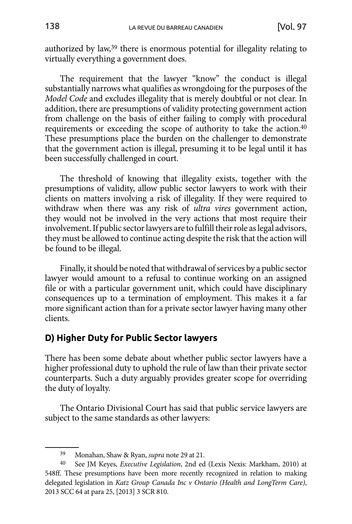<span id="page-9-0"></span>authorized by law,39 there is enormous potential for illegality relating to virtually everything a government does.

The requirement that the lawyer "know" the conduct is illegal substantially narrows what qualifies as wrongdoing for the purposes of the *Model Code* and excludes illegality that is merely doubtful or not clear. In addition, there are presumptions of validity protecting government action from challenge on the basis of either failing to comply with procedural requirements or exceeding the scope of authority to take the action.40 These presumptions place the burden on the challenger to demonstrate that the government action is illegal, presuming it to be legal until it has been successfully challenged in court.

The threshold of knowing that illegality exists, together with the presumptions of validity, allow public sector lawyers to work with their clients on matters involving a risk of illegality. If they were required to withdraw when there was any risk of *ultra vires* government action, they would not be involved in the very actions that most require their involvement. If public sector lawyers are to fulfill their role as legal advisors, they must be allowed to continue acting despite the risk that the action will be found to be illegal.

Finally, it should be noted that withdrawal of services by a public sector lawyer would amount to a refusal to continue working on an assigned file or with a particular government unit, which could have disciplinary consequences up to a termination of employment. This makes it a far more significant action than for a private sector lawyer having many other clients.

## **D) Higher Duty for Public Sector lawyers**

There has been some debate about whether public sector lawyers have a higher professional duty to uphold the rule of law than their private sector counterparts. Such a duty arguably provides greater scope for overriding the duty of loyalty.

The Ontario Divisional Court has said that public service lawyers are subject to the same standards as other lawyers:

<sup>39</sup> Monahan, Shaw & Ryan, *supra* note 29 at 21*.*

<sup>40</sup> See JM Keyes, *Executive Legislation*, 2nd ed (Lexis Nexis: Markham, 2010) at 548ff. These presumptions have been more recently recognized in relation to making delegated legislation in *Katz Group Canada Inc v Ontario (Health and LongTerm Care)*, 2013 SCC 64 at para 25, [2013] 3 SCR 810.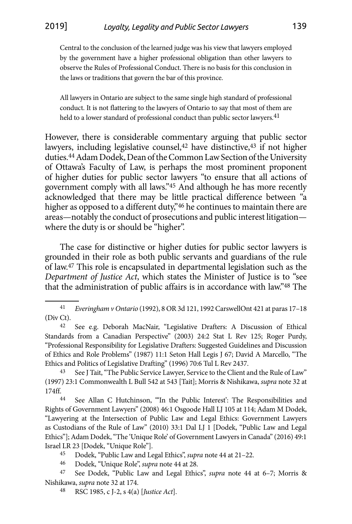Central to the conclusion of the learned judge was his view that lawyers employed by the government have a higher professional obligation than other lawyers to observe the Rules of Professional Conduct. There is no basis for this conclusion in the laws or traditions that govern the bar of this province.

All lawyers in Ontario are subject to the same single high standard of professional conduct. It is not flattering to the lawyers of Ontario to say that most of them are held to a lower standard of professional conduct than public sector lawyers.<sup>41</sup>

However, there is considerable commentary arguing that public sector lawyers, including legislative counsel,<sup>42</sup> have distinctive,<sup>43</sup> if not higher duties.44 Adam Dodek, Dean of the Common Law Section of the University of Ottawa's Faculty of Law, is perhaps the most prominent proponent of higher duties for public sector lawyers "to ensure that all actions of government comply with all laws."45 And although he has more recently acknowledged that there may be little practical difference between "a higher as opposed to a different duty,"46 he continues to maintain there are areas—notably the conduct of prosecutions and public interest litigation where the duty is or should be "higher".

The case for distinctive or higher duties for public sector lawyers is grounded in their role as both public servants and guardians of the rule of law.47 This role is encapsulated in departmental legislation such as the *Department of Justice Act*, which states the Minister of Justice is to "see that the administration of public affairs is in accordance with law."48 The

See J Tait, "The Public Service Lawyer, Service to the Client and the Rule of Law" (1997) 23:1 Commonwealth L Bull 542 at 543 [Tait]; Morris & Nishikawa, *supra* note 32 at 174ff.<br><sup>44</sup> See Allan C Hutchinson, "'In the Public Interest': The Responsibilities and

Rights of Government Lawyers" (2008) 46:1 Osgoode Hall LJ 105 at 114; Adam M Dodek, "Lawyering at the Intersection of Public Law and Legal Ethics: Government Lawyers as Custodians of the Rule of Law" (2010) 33:1 Dal LJ 1 [Dodek, "Public Law and Legal Ethics"]; Adam Dodek, "The 'Unique Role' of Government Lawyers in Canada" (2016) 49:1 Israel LR 23 [Dodek, "Unique Role"].

45 Dodek, "Public Law and Legal Ethics", *supra* note 44 at 21–22.

46 Dodek, "Unique Role", *supra* note 44 at 28.

47 See Dodek, "Public Law and Legal Ethics", *supra* note 44 at 6–7; Morris & Nishikawa, *supra* note 32 at 174.

48 RSC 1985, c J-2, s 4(a) [*Justice Act*].

<sup>41</sup> *Everingham v Ontario* (1992), 8 OR 3d 121, 1992 CarswellOnt 421 at paras 17–18 (Div Ct). 42 See e.g. Deborah MacNair, "Legislative Drafters: A Discussion of Ethical

Standards from a Canadian Perspective" (2003) 24:2 Stat L Rev 125; Roger Purdy, "Professional Responsibility for Legislative Drafters: Suggested Guidelines and Discussion of Ethics and Role Problems" (1987) 11:1 Seton Hall Legis J 67; David A Marcello, "The Ethics and Politics of Legislative Drafting" (1996) 70:6 Tul L Rev 2437.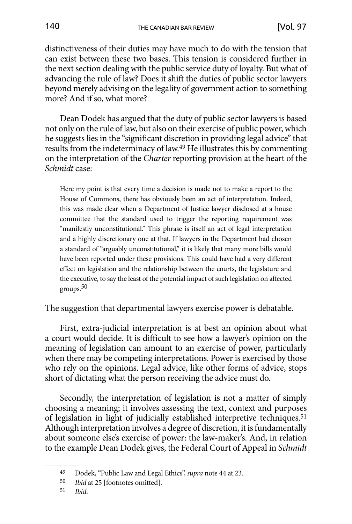distinctiveness of their duties may have much to do with the tension that can exist between these two bases. This tension is considered further in the next section dealing with the public service duty of loyalty. But what of advancing the rule of law? Does it shift the duties of public sector lawyers beyond merely advising on the legality of government action to something more? And if so, what more?

Dean Dodek has argued that the duty of public sector lawyers is based not only on the rule of law, but also on their exercise of public power, which he suggests lies in the "significant discretion in providing legal advice" that results from the indeterminacy of law.49 He illustrates this by commenting on the interpretation of the *Charter* reporting provision at the heart of the *Schmidt* case:

Here my point is that every time a decision is made not to make a report to the House of Commons, there has obviously been an act of interpretation. Indeed, this was made clear when a Department of Justice lawyer disclosed at a house committee that the standard used to trigger the reporting requirement was "manifestly unconstitutional." This phrase is itself an act of legal interpretation and a highly discretionary one at that. If lawyers in the Department had chosen a standard of "arguably unconstitutional," it is likely that many more bills would have been reported under these provisions. This could have had a very different effect on legislation and the relationship between the courts, the legislature and the executive, to say the least of the potential impact of such legislation on affected groups.50

The suggestion that departmental lawyers exercise power is debatable.

First, extra-judicial interpretation is at best an opinion about what a court would decide. It is difficult to see how a lawyer's opinion on the meaning of legislation can amount to an exercise of power, particularly when there may be competing interpretations. Power is exercised by those who rely on the opinions. Legal advice, like other forms of advice, stops short of dictating what the person receiving the advice must do.

Secondly, the interpretation of legislation is not a matter of simply choosing a meaning; it involves assessing the text, context and purposes of legislation in light of judicially established interpretive techniques.51 Although interpretation involves a degree of discretion, it is fundamentally about someone else's exercise of power: the law-maker's. And, in relation to the example Dean Dodek gives, the Federal Court of Appeal in *Schmidt*

<sup>49</sup> Dodek, "Public Law and Legal Ethics", *supra* note 44 at 23.

<sup>50</sup> *Ibid* at 25 [footnotes omitted].

<sup>51</sup> *Ibid*.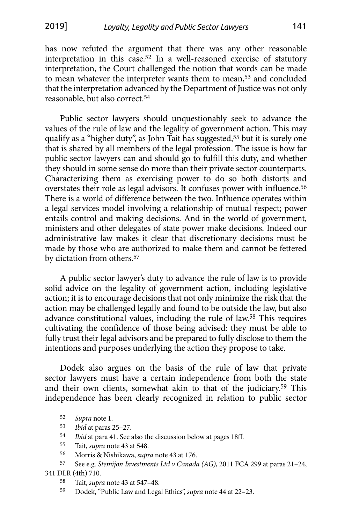has now refuted the argument that there was any other reasonable interpretation in this case.52 In a well-reasoned exercise of statutory interpretation, the Court challenged the notion that words can be made to mean whatever the interpreter wants them to mean,<sup>53</sup> and concluded that the interpretation advanced by the Department of Justice was not only reasonable, but also correct.54

Public sector lawyers should unquestionably seek to advance the values of the rule of law and the legality of government action. This may qualify as a "higher duty", as John Tait has suggested,<sup>55</sup> but it is surely one that is shared by all members of the legal profession. The issue is how far public sector lawyers can and should go to fulfill this duty, and whether they should in some sense do more than their private sector counterparts. Characterizing them as exercising power to do so both distorts and overstates their role as legal advisors. It confuses power with influence.56 There is a world of difference between the two. Influence operates within a legal services model involving a relationship of mutual respect; power entails control and making decisions. And in the world of government, ministers and other delegates of state power make decisions. Indeed our administrative law makes it clear that discretionary decisions must be made by those who are authorized to make them and cannot be fettered by dictation from others.57

A public sector lawyer's duty to advance the rule of law is to provide solid advice on the legality of government action, including legislative action; it is to encourage decisions that not only minimize the risk that the action may be challenged legally and found to be outside the law, but also advance constitutional values, including the rule of law.58 This requires cultivating the confidence of those being advised: they must be able to fully trust their legal advisors and be prepared to fully disclose to them the intentions and purposes underlying the action they propose to take.

Dodek also argues on the basis of the rule of law that private sector lawyers must have a certain independence from both the state and their own clients, somewhat akin to that of the judiciary.59 This independence has been clearly recognized in relation to public sector

<sup>52</sup> *Supra* note 1.

<sup>53</sup> *Ibid* at paras 25–27.

<sup>54</sup> *Ibid* at para 41. See also the discussion below at pages 18ff.

<sup>55</sup> Tait, *supra* note 43 at 548.

<sup>56</sup> Morris & Nishikawa, *supra* note 43 at 176.

<sup>57</sup> See e.g. *Stemijon Investments Ltd v Canada (AG)*, 2011 FCA 299 at paras 21–24, 341 DLR (4th) 710.

<sup>58</sup> Tait, *supra* note 43 at 547–48.

<sup>59</sup> Dodek, "Public Law and Legal Ethics", *supra* note 44 at 22–23.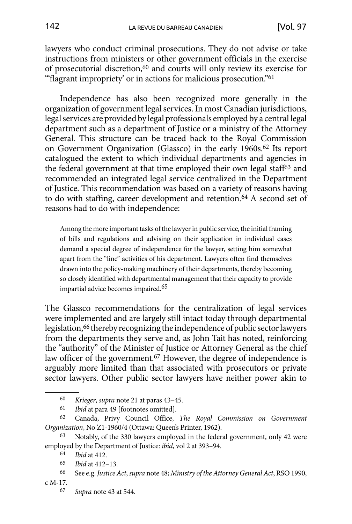lawyers who conduct criminal prosecutions. They do not advise or take instructions from ministers or other government officials in the exercise of prosecutorial discretion,<sup>60</sup> and courts will only review its exercise for "flagrant impropriety' or in actions for malicious prosecution."<sup>61</sup>

Independence has also been recognized more generally in the organization of government legal services. In most Canadian jurisdictions, legal services are provided by legal professionals employed by a central legal department such as a department of Justice or a ministry of the Attorney General. This structure can be traced back to the Royal Commission on Government Organization (Glassco) in the early 1960s.62 Its report catalogued the extent to which individual departments and agencies in the federal government at that time employed their own legal staff63 and recommended an integrated legal service centralized in the Department of Justice. This recommendation was based on a variety of reasons having to do with staffing, career development and retention.64 A second set of reasons had to do with independence:

Among the more important tasks of the lawyer in public service, the initial framing of bills and regulations and advising on their application in individual cases demand a special degree of independence for the lawyer, setting him somewhat apart from the "line" activities of his department. Lawyers often find themselves drawn into the policy-making machinery of their departments, thereby becoming so closely identified with departmental management that their capacity to provide impartial advice becomes impaired.65

The Glassco recommendations for the centralization of legal services were implemented and are largely still intact today through departmental legislation,<sup>66</sup> thereby recognizing the independence of public sector lawyers from the departments they serve and, as John Tait has noted, reinforcing the "authority" of the Minister of Justice or Attorney General as the chief law officer of the government.<sup>67</sup> However, the degree of independence is arguably more limited than that associated with prosecutors or private sector lawyers. Other public sector lawyers have neither power akin to

<sup>60</sup> *Krieger*, *supra* note 21 at paras 43–45.

<sup>61</sup> *Ibid* at para 49 [footnotes omitted].

<sup>62</sup> Canada, Privy Council Office, *The Royal Commission on Government Organization*, No Z1-1960/4 (Ottawa: Queen's Printer, 1962).

<sup>63</sup> Notably, of the 330 lawyers employed in the federal government, only 42 were employed by the Department of Justice: *ibid*, vol 2 at 393–94.

<sup>64</sup> *Ibid* at 412.

<sup>65</sup> *Ibid* at 412–13.

<sup>66</sup> See e.g. *Justice Act*, *supra* note 48; *Ministry of the Attorney General Act*, RSO 1990, c M-17.

<sup>67</sup> *Supra* note 43 at 544.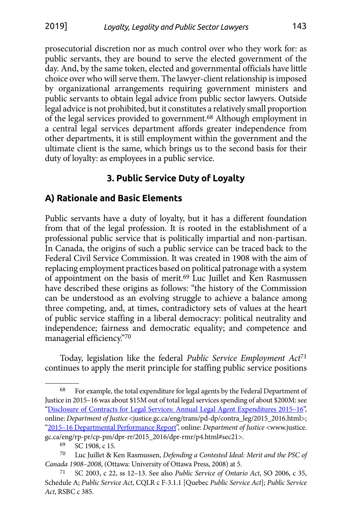<span id="page-14-0"></span>prosecutorial discretion nor as much control over who they work for: as public servants, they are bound to serve the elected government of the day. And, by the same token, elected and governmental officials have little choice over who will serve them. The lawyer-client relationship is imposed by organizational arrangements requiring government ministers and public servants to obtain legal advice from public sector lawyers. Outside legal advice is not prohibited, but it constitutes a relatively small proportion of the legal services provided to government.68 Although employment in a central legal services department affords greater independence from other departments, it is still employment within the government and the ultimate client is the same, which brings us to the second basis for their duty of loyalty: as employees in a public service.

# **3. Public Service Duty of Loyalty**

## **A) Rationale and Basic Elements**

Public servants have a duty of loyalty, but it has a different foundation from that of the legal profession. It is rooted in the establishment of a professional public service that is politically impartial and non-partisan. In Canada, the origins of such a public service can be traced back to the Federal Civil Service Commission. It was created in 1908 with the aim of replacing employment practices based on political patronage with a system of appointment on the basis of merit.<sup>69</sup> Luc Juillet and Ken Rasmussen have described these origins as follows: "the history of the Commission can be understood as an evolving struggle to achieve a balance among three competing, and, at times, contradictory sets of values at the heart of public service staffing in a liberal democracy: political neutrality and independence; fairness and democratic equality; and competence and managerial efficiency."70

Today, legislation like the federal *Public Service Employment Act*<sup>71</sup> continues to apply the merit principle for staffing public service positions

<sup>68</sup> For example, the total expenditure for legal agents by the Federal Department of Justice in 2015–16 was about \$15M out of total legal services spending of about \$200M: see ["Disclosure of Contracts for Legal Services: Annual Legal Agent Expenditures 2015–16"](http://justice.gc.ca/eng/trans/pd-dp/contra_leg/2015_2016.html), online: *Department of Justice* <justice.gc.ca/eng/trans/pd-dp/contra\_leg/2015\_2016.html>; ["2015–16 Departmental Performance Report"](http://www.justice.gc.ca/eng/rp-pr/cp-pm/dpr-rr/2015_2016/dpr-rmr/p4.html%23sec21), online: *Department of Justice* <www.justice. gc.ca/eng/rp-pr/cp-pm/dpr-rr/2015\_2016/dpr-rmr/p4.html#sec21>.

<sup>69</sup> SC 1908, c 15.

<sup>70</sup> Luc Juillet & Ken Rasmussen, *Defending a Contested Ideal: Merit and the PSC of Canada 1908–2008*, (Ottawa: University of Ottawa Press, 2008) at 5.

<sup>71</sup> SC 2003, c 22, ss 12–13. See also *Public Service of Ontario Act*, SO 2006, c 35, Schedule A; *Public Service Act*, CQLR c F-3.1.1 [Quebec *Public Service Act*]; *Public Service Act*, RSBC c 385.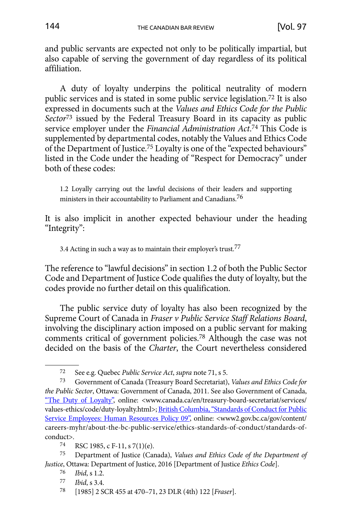and public servants are expected not only to be politically impartial, but also capable of serving the government of day regardless of its political affiliation.

A duty of loyalty underpins the political neutrality of modern public services and is stated in some public service legislation.72 It is also expressed in documents such at the *Values and Ethics Code for the Public Sector*73 issued by the Federal Treasury Board in its capacity as public service employer under the *Financial Administration Act*. 74 This Code is supplemented by departmental codes, notably the Values and Ethics Code of the Department of Justice.75 Loyalty is one of the "expected behaviours" listed in the Code under the heading of "Respect for Democracy" under both of these codes:

1.2 Loyally carrying out the lawful decisions of their leaders and supporting ministers in their accountability to Parliament and Canadians.76

It is also implicit in another expected behaviour under the heading "Integrity":

3.4 Acting in such a way as to maintain their employer's trust.<sup>77</sup>

The reference to "lawful decisions" in section 1.2 of both the Public Sector Code and Department of Justice Code qualifies the duty of loyalty, but the codes provide no further detail on this qualification.

The public service duty of loyalty has also been recognized by the Supreme Court of Canada in *Fraser v Public Service Staff Relations Board*, involving the disciplinary action imposed on a public servant for making comments critical of government policies.78 Although the case was not decided on the basis of the *Charter*, the Court nevertheless considered

75 Department of Justice (Canada), *Values and Ethics Code of the Department of Justice*, Ottawa: Department of Justice, 2016 [Department of Justice *Ethics Code*].

- *Ibid.* s 3.4.
- 78 [1985] 2 SCR 455 at 470–71, 23 DLR (4th) 122 [*Fraser*].

<sup>72</sup> See e.g. Quebec *Public Service Act*, *supra* note 71, s 5.

<sup>73</sup> Government of Canada (Treasury Board Secretariat), *Values and Ethics Code for the Public Sector*, Ottawa: Government of Canada, 2011. See also Government of Canada, ["The Duty of Loyalty"](http://www.canada.ca/en/treasury-board-secretariat/services/values-ethics/code/duty-loyalty.html), online: <www.canada.ca/en/treasury-board-secretariat/services/ values-ethics/code/duty-loyalty.html>; British Columbia, "Standards of Conduct for Public [Service Employees: Human Resources Policy 09"](http://www2.gov.bc.ca/gov/content/careers-myhr/about-the-bc-public-service/ethics-standards-of-conduct/standards-of-conduct), online: <www2.gov.bc.ca/gov/content/ careers-myhr/about-the-bc-public-service/ethics-standards-of-conduct/standards-ofconduct>.

<sup>74</sup> RSC 1985, c F-11, s 7(1)(e).

<sup>76</sup> *Ibid*, s 1.2.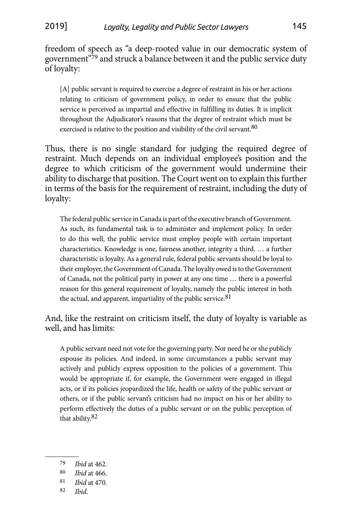freedom of speech as "a deep-rooted value in our democratic system of government"79 and struck a balance between it and the public service duty of loyalty:

[A] public servant is required to exercise a degree of restraint in his or her actions relating to criticism of government policy, in order to ensure that the public service is perceived as impartial and effective in fulfilling its duties. It is implicit throughout the Adjudicator's reasons that the degree of restraint which must be exercised is relative to the position and visibility of the civil servant.<sup>80</sup>

Thus, there is no single standard for judging the required degree of restraint. Much depends on an individual employee's position and the degree to which criticism of the government would undermine their ability to discharge that position. The Court went on to explain this further in terms of the basis for the requirement of restraint, including the duty of loyalty:

The federal public service in Canada is part of the executive branch of Government. As such, its fundamental task is to administer and implement policy. In order to do this well, the public service must employ people with certain important characteristics. Knowledge is one, fairness another, integrity a third. … a further characteristic is loyalty. As a general rule, federal public servants should be loyal to their employer, the Government of Canada. The loyalty owed is to the Government of Canada, not the political party in power at any one time … there is a powerful reason for this general requirement of loyalty, namely the public interest in both the actual, and apparent, impartiality of the public service.<sup>81</sup>

And, like the restraint on criticism itself, the duty of loyalty is variable as well, and has limits:

A public servant need not vote for the governing party. Nor need he or she publicly espouse its policies. And indeed, in some circumstances a public servant may actively and publicly express opposition to the policies of a government. This would be appropriate if, for example, the Government were engaged in illegal acts, or if its policies jeopardized the life, health or safety of the public servant or others, or if the public servant's criticism had no impact on his or her ability to perform effectively the duties of a public servant or on the public perception of that ability.82

<sup>79</sup> *Ibid* at 462.

<sup>80</sup> *Ibid* at 466.

<sup>81</sup> *Ibid* at 470.

<sup>82</sup> *Ibid*.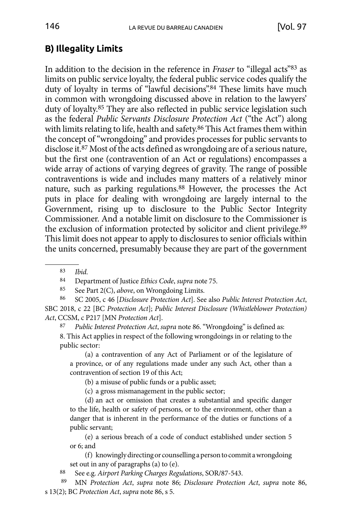# <span id="page-17-0"></span>**B) Illegality Limits**

In addition to the decision in the reference in *Fraser* to "illegal acts"83 as limits on public service loyalty, the federal public service codes qualify the duty of loyalty in terms of "lawful decisions".84 These limits have much in common with wrongdoing discussed above in relation to the lawyers' duty of loyalty.85 They are also reflected in public service legislation such as the federal *Public Servants Disclosure Protection Act* ("the Act") along with limits relating to life, health and safety.<sup>86</sup> This Act frames them within the concept of "wrongdoing" and provides processes for public servants to disclose it.87 Most of the acts defined as wrongdoing are of a serious nature, but the first one (contravention of an Act or regulations) encompasses a wide array of actions of varying degrees of gravity. The range of possible contraventions is wide and includes many matters of a relatively minor nature, such as parking regulations.88 However, the processes the Act puts in place for dealing with wrongdoing are largely internal to the Government, rising up to disclosure to the Public Sector Integrity Commissioner. And a notable limit on disclosure to the Commissioner is the exclusion of information protected by solicitor and client privilege.89 This limit does not appear to apply to disclosures to senior officials within the units concerned, presumably because they are part of the government

<sup>83</sup> *Ibid*. 84 Department of Justice *Ethics Code*, *supra* note 75.

85 See Part 2(C), *above*, on Wrongdoing Limits.

86 SC 2005, c 46 [*Disclosure Protection Act*]. See also *Public Interest Protection Act*, SBC 2018, c 22 [BC *Protection Act*]; *Public Interest Disclosure (Whistleblower Protection) Act*, CCSM, c P217 [MN *Protection Act*].

87 *Public Interest Protection Act*, *supra* note 86. "Wrongdoing" is defined as: 8. This Act applies in respect of the following wrongdoings in or relating to the public sector:

(a) a contravention of any Act of Parliament or of the legislature of a province, or of any regulations made under any such Act, other than a contravention of section 19 of this Act;

(b) a misuse of public funds or a public asset;

(c) a gross mismanagement in the public sector;

(d) an act or omission that creates a substantial and specific danger to the life, health or safety of persons, or to the environment, other than a danger that is inherent in the performance of the duties or functions of a public servant;

(e) a serious breach of a code of conduct established under section 5 or 6; and

(f) knowingly directing or counselling a person to commit a wrongdoing set out in any of paragraphs (a) to (e).

88 See e.g. *Airport Parking Charges Regulations*, SOR/87-543.

 89 MN *Protection Act*, *supra* note 86; *Disclosure Protection Act*, *supra* note 86, s 13(2); BC *Protection Act*, *supra* note 86, s 5.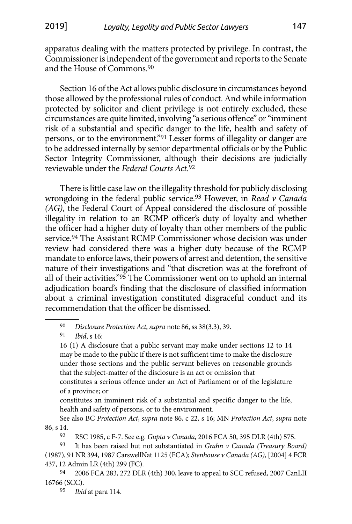apparatus dealing with the matters protected by privilege. In contrast, the Commissioner is independent of the government and reports to the Senate and the House of Commons.90

Section 16 of the Act allows public disclosure in circumstances beyond those allowed by the professional rules of conduct. And while information protected by solicitor and client privilege is not entirely excluded, these circumstances are quite limited, involving "a serious offence" or "imminent risk of a substantial and specific danger to the life, health and safety of persons, or to the environment."91 Lesser forms of illegality or danger are to be addressed internally by senior departmental officials or by the Public Sector Integrity Commissioner, although their decisions are judicially reviewable under the *Federal Courts Act*. 92

There is little case law on the illegality threshold for publicly disclosing wrongdoing in the federal public service.93 However, in *Read v Canada (AG)*, the Federal Court of Appeal considered the disclosure of possible illegality in relation to an RCMP officer's duty of loyalty and whether the officer had a higher duty of loyalty than other members of the public service.94 The Assistant RCMP Commissioner whose decision was under review had considered there was a higher duty because of the RCMP mandate to enforce laws, their powers of arrest and detention, the sensitive nature of their investigations and "that discretion was at the forefront of all of their activities."95 The Commissioner went on to uphold an internal adjudication board's finding that the disclosure of classified information about a criminal investigation constituted disgraceful conduct and its recommendation that the officer be dismissed.

90 *Disclosure Protection Act*, *supra* note 86, ss 38(3.3), 39.

91 *Ibid*, s 16:

16 (1) A disclosure that a public servant may make under sections 12 to 14 may be made to the public if there is not sufficient time to make the disclosure under those sections and the public servant believes on reasonable grounds that the subject-matter of the disclosure is an act or omission that

constitutes a serious offence under an Act of Parliament or of the legislature of a province; or

constitutes an imminent risk of a substantial and specific danger to the life, health and safety of persons, or to the environment.

See also BC *Protection Act*, *supra* note 86, c 22, s 16; MN *Protection Act*, *supra* note 86, s 14.

92 RSC 1985, c F-7. See e.g. *Gupta v Canada*, 2016 FCA 50, 395 DLR (4th) 575.

<sup>93</sup> It has been raised but not substantiated in *Grahn v Canada (Treasury Board)* (1987), 91 NR 394, 1987 CarswellNat 1125 (FCA); *Stenhouse v Canada (AG)*, [2004] 4 FCR 437, 12 Admin LR (4th) 299 (FC).

<sup>94</sup> 2006 FCA 283, 272 DLR (4th) 300, leave to appeal to SCC refused, 2007 CanLII 16766 (SCC).

<sup>95</sup> *Ibid* at para 114.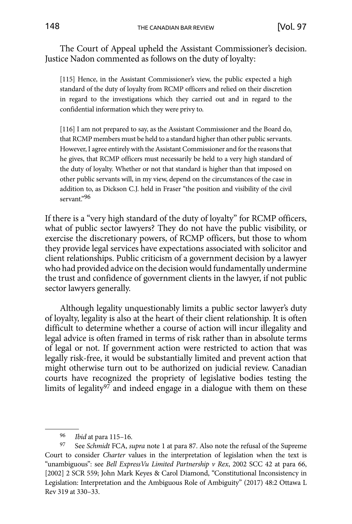The Court of Appeal upheld the Assistant Commissioner's decision. Justice Nadon commented as follows on the duty of loyalty:

[115] Hence, in the Assistant Commissioner's view, the public expected a high standard of the duty of loyalty from RCMP officers and relied on their discretion in regard to the investigations which they carried out and in regard to the confidential information which they were privy to.

[116] I am not prepared to say, as the Assistant Commissioner and the Board do, that RCMP members must be held to a standard higher than other public servants. However, I agree entirely with the Assistant Commissioner and for the reasons that he gives, that RCMP officers must necessarily be held to a very high standard of the duty of loyalty. Whether or not that standard is higher than that imposed on other public servants will, in my view, depend on the circumstances of the case in addition to, as Dickson C.J. held in Fraser "the position and visibility of the civil servant."96

If there is a "very high standard of the duty of loyalty" for RCMP officers, what of public sector lawyers? They do not have the public visibility, or exercise the discretionary powers, of RCMP officers, but those to whom they provide legal services have expectations associated with solicitor and client relationships. Public criticism of a government decision by a lawyer who had provided advice on the decision would fundamentally undermine the trust and confidence of government clients in the lawyer, if not public sector lawyers generally.

Although legality unquestionably limits a public sector lawyer's duty of loyalty, legality is also at the heart of their client relationship. It is often difficult to determine whether a course of action will incur illegality and legal advice is often framed in terms of risk rather than in absolute terms of legal or not. If government action were restricted to action that was legally risk-free, it would be substantially limited and prevent action that might otherwise turn out to be authorized on judicial review. Canadian courts have recognized the propriety of legislative bodies testing the limits of legality $97$  and indeed engage in a dialogue with them on these

<sup>96</sup> *Ibid* at para 115–16.

<sup>97</sup> See *Schmidt* FCA, *supra* note 1 at para 87. Also note the refusal of the Supreme Court to consider *Charter* values in the interpretation of legislation when the text is "unambiguous": see *Bell ExpressVu Limited Partnership v Rex*, 2002 SCC 42 at para 66, [2002] 2 SCR 559; John Mark Keyes & Carol Diamond, "Constitutional Inconsistency in Legislation: Interpretation and the Ambiguous Role of Ambiguity" (2017) 48:2 Ottawa L Rev 319 at 330–33.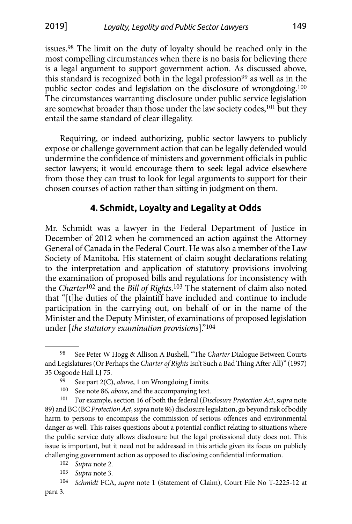<span id="page-20-0"></span>issues.98 The limit on the duty of loyalty should be reached only in the most compelling circumstances when there is no basis for believing there is a legal argument to support government action. As discussed above, this standard is recognized both in the legal profession<sup>99</sup> as well as in the public sector codes and legislation on the disclosure of wrongdoing.100 The circumstances warranting disclosure under public service legislation are somewhat broader than those under the law society codes,<sup>101</sup> but they entail the same standard of clear illegality.

Requiring, or indeed authorizing, public sector lawyers to publicly expose or challenge government action that can be legally defended would undermine the confidence of ministers and government officials in public sector lawyers; it would encourage them to seek legal advice elsewhere from those they can trust to look for legal arguments to support for their chosen courses of action rather than sitting in judgment on them.

#### **4. Schmidt, Loyalty and Legality at Odds**

Mr. Schmidt was a lawyer in the Federal Department of Justice in December of 2012 when he commenced an action against the Attorney General of Canada in the Federal Court. He was also a member of the Law Society of Manitoba. His statement of claim sought declarations relating to the interpretation and application of statutory provisions involving the examination of proposed bills and regulations for inconsistency with the *Charter*102 and the *Bill of Rights*. 103 The statement of claim also noted that "[t]he duties of the plaintiff have included and continue to include participation in the carrying out, on behalf of or in the name of the Minister and the Deputy Minister, of examinations of proposed legislation under [*the statutory examination provisions*]."104

<sup>98</sup> See Peter W Hogg & Allison A Bushell, "The *Charter* Dialogue Between Courts and Legislatures (Or Perhaps the *Charter of Rights* Isn't Such a Bad Thing After All)" (1997) 35 Osgoode Hall LJ 75.

<sup>99</sup> See part 2(C), *above*, 1 on Wrongdoing Limits.

<sup>100</sup> See note 86, *above*, and the accompanying text.

<sup>101</sup> For example, section 16 of both the federal (*Disclosure Protection Act*, *supra* note 89) and BC (BC *Protection Act*, *supra* note 86) disclosure legislation, go beyond risk of bodily harm to persons to encompass the commission of serious offences and environmental danger as well. This raises questions about a potential conflict relating to situations where the public service duty allows disclosure but the legal professional duty does not. This issue is important, but it need not be addressed in this article given its focus on publicly challenging government action as opposed to disclosing confidential information.

<sup>102</sup> *Supra* note 2.

<sup>103</sup> *Supra* note 3.

<sup>104</sup> *Schmidt* FCA, *supra* note 1 (Statement of Claim), Court File No T-2225-12 at para 3.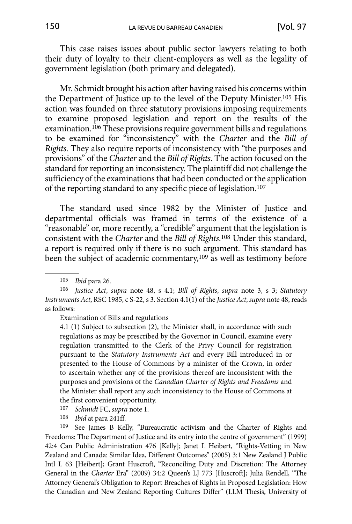This case raises issues about public sector lawyers relating to both their duty of loyalty to their client-employers as well as the legality of government legislation (both primary and delegated).

Mr. Schmidt brought his action after having raised his concerns within the Department of Justice up to the level of the Deputy Minister.105 His action was founded on three statutory provisions imposing requirements to examine proposed legislation and report on the results of the examination.<sup>106</sup> These provisions require government bills and regulations to be examined for "inconsistency" with the *Charter* and the *Bill of Rights*. They also require reports of inconsistency with "the purposes and provisions" of the *Charter* and the *Bill of Rights*. The action focused on the standard for reporting an inconsistency. The plaintiff did not challenge the sufficiency of the examinations that had been conducted or the application of the reporting standard to any specific piece of legislation.107

The standard used since 1982 by the Minister of Justice and departmental officials was framed in terms of the existence of a "reasonable" or, more recently, a "credible" argument that the legislation is consistent with the *Charter* and the *Bill of Rights*. 108 Under this standard, a report is required only if there is no such argument. This standard has been the subject of academic commentary,109 as well as testimony before

Examination of Bills and regulations

4.1 (1) Subject to subsection (2), the Minister shall, in accordance with such regulations as may be prescribed by the Governor in Council, examine every regulation transmitted to the Clerk of the Privy Council for registration pursuant to the *Statutory Instruments Act* and every Bill introduced in or presented to the House of Commons by a minister of the Crown, in order to ascertain whether any of the provisions thereof are inconsistent with the purposes and provisions of the *Canadian Charter of Rights and Freedoms* and the Minister shall report any such inconsistency to the House of Commons at the first convenient opportunity.

107 *Schmidt* FC, *supra* note 1.

108 *Ibid* at para 241ff.

See James B Kelly, "Bureaucratic activism and the Charter of Rights and Freedoms: The Department of Justice and its entry into the centre of government" (1999) 42:4 Can Public Administration 476 [Kelly]; Janet L Heibert, "Rights-Vetting in New Zealand and Canada: Similar Idea, Different Outcomes" (2005) 3:1 New Zealand J Public Intl L 63 [Heibert]; Grant Huscroft, "Reconciling Duty and Discretion: The Attorney General in the *Charter* Era" (2009) 34:2 Queen's LJ 773 [Huscroft]; Julia Rendell, "The Attorney General's Obligation to Report Breaches of Rights in Proposed Legislation: How the Canadian and New Zealand Reporting Cultures Differ" (LLM Thesis, University of

<sup>105</sup> *Ibid* para 26.

<sup>106</sup> *Justice Act*, *supra* note 48, s 4.1; *Bill of Rights*, *supra* note 3, s 3; *Statutory Instruments Act*, RSC 1985, c S-22, s 3. Section 4.1(1) of the *Justice Act*, *supra* note 48, reads as follows: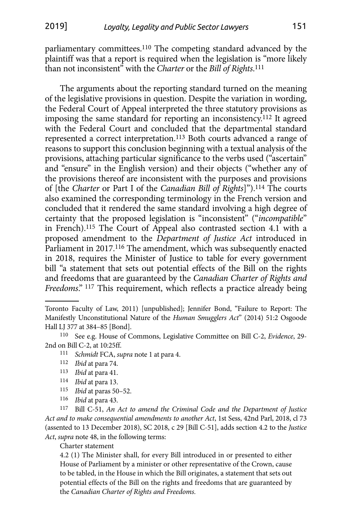parliamentary committees.110 The competing standard advanced by the plaintiff was that a report is required when the legislation is "more likely than not inconsistent" with the *Charter* or the *Bill of Rights*. 111

The arguments about the reporting standard turned on the meaning of the legislative provisions in question. Despite the variation in wording, the Federal Court of Appeal interpreted the three statutory provisions as imposing the same standard for reporting an inconsistency.112 It agreed with the Federal Court and concluded that the departmental standard represented a correct interpretation.113 Both courts advanced a range of reasons to support this conclusion beginning with a textual analysis of the provisions, attaching particular significance to the verbs used ("ascertain" and "ensure" in the English version) and their objects ("whether any of the provisions thereof are inconsistent with the purposes and provisions of [the *Charter* or Part I of the *Canadian Bill of Rights*]").114 The courts also examined the corresponding terminology in the French version and concluded that it rendered the same standard involving a high degree of certainty that the proposed legislation is "inconsistent" ("*incompatible*" in French).115 The Court of Appeal also contrasted section 4.1 with a proposed amendment to the *Department of Justice Act* introduced in Parliament in 2017.116 The amendment, which was subsequently enacted in 2018, requires the Minister of Justice to table for every government bill "a statement that sets out potential effects of the Bill on the rights and freedoms that are guaranteed by the *Canadian Charter of Rights and Freedoms*." 117 This requirement, which reflects a practice already being

- 113 *Ibid* at para 41.
- 114 *Ibid* at para 13.
- 115 *Ibid* at paras 50–52.
- 116 *Ibid* at para 43.

117 Bill C-51, *An Act to amend the Criminal Code and the Department of Justice Act and to make consequential amendments to another Act*, 1st Sess, 42nd Parl, 2018, cl 73 (assented to 13 December 2018), SC 2018, c 29 [Bill C-51], adds section 4.2 to the *Justice Act*, *supra* note 48, in the following terms:

#### Charter statement

4.2 (1) The Minister shall, for every Bill introduced in or presented to either House of Parliament by a minister or other representative of the Crown, cause to be tabled, in the House in which the Bill originates, a statement that sets out potential effects of the Bill on the rights and freedoms that are guaranteed by the *Canadian Charter of Rights and Freedoms.*

Toronto Faculty of Law, 2011) [unpublished]; Jennifer Bond, "Failure to Report: The Manifestly Unconstitutional Nature of the *Human Smugglers Act*" (2014) 51:2 Osgoode Hall LJ 377 at 384–85 [Bond].

<sup>110</sup> See e.g. House of Commons, Legislative Committee on Bill C-2, *Evidence*, 29- 2nd on Bill C-2, at 10:25ff.

<sup>111</sup> *Schmidt* FCA, *supra* note 1 at para 4.

<sup>112</sup> *Ibid* at para 74.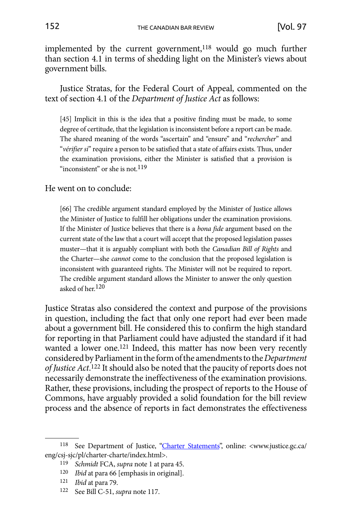implemented by the current government,<sup>118</sup> would go much further than section 4.1 in terms of shedding light on the Minister's views about government bills.

Justice Stratas, for the Federal Court of Appeal, commented on the text of section 4.1 of the *Department of Justice Act* as follows:

[45] Implicit in this is the idea that a positive finding must be made, to some degree of certitude, that the legislation is inconsistent before a report can be made. The shared meaning of the words "ascertain" and "ensure" and "*rechercher*" and "*vérifier si*" require a person to be satisfied that a state of affairs exists. Thus, under the examination provisions, either the Minister is satisfied that a provision is "inconsistent" or she is not.<sup>119</sup>

He went on to conclude:

[66] The credible argument standard employed by the Minister of Justice allows the Minister of Justice to fulfill her obligations under the examination provisions. If the Minister of Justice believes that there is a *bona fide* argument based on the current state of the law that a court will accept that the proposed legislation passes muster—that it is arguably compliant with both the *Canadian Bill of Rights* and the Charter—she *cannot* come to the conclusion that the proposed legislation is inconsistent with guaranteed rights. The Minister will not be required to report. The credible argument standard allows the Minister to answer the only question asked of her.<sup>120</sup>

Justice Stratas also considered the context and purpose of the provisions in question, including the fact that only one report had ever been made about a government bill. He considered this to confirm the high standard for reporting in that Parliament could have adjusted the standard if it had wanted a lower one.<sup>121</sup> Indeed, this matter has now been very recently considered by Parliament in the form of the amendments to the *Department of Justice Act*. 122 It should also be noted that the paucity of reports does not necessarily demonstrate the ineffectiveness of the examination provisions. Rather, these provisions, including the prospect of reports to the House of Commons, have arguably provided a solid foundation for the bill review process and the absence of reports in fact demonstrates the effectiveness

<sup>&</sup>lt;sup>118</sup> See Department of Justice, ["Charter Statements"](http://www.justice.gc.ca/eng/csj-sjc/pl/charter-charte/index.html), online: <www.justice.gc.ca/ eng/csj-sjc/pl/charter-charte/index.html>.

<sup>119</sup> *Schmidt* FCA, *supra* note 1 at para 45.

<sup>120</sup> *Ibid* at para 66 [emphasis in original].

<sup>121</sup> *Ibid* at para 79.

<sup>122</sup> See Bill C-51, *supra* note 117.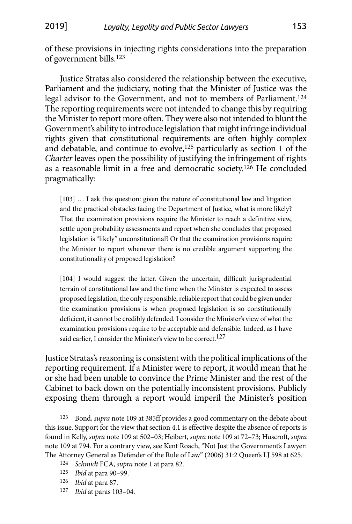of these provisions in injecting rights considerations into the preparation of government bills.123

Justice Stratas also considered the relationship between the executive, Parliament and the judiciary, noting that the Minister of Justice was the legal advisor to the Government, and not to members of Parliament.124 The reporting requirements were not intended to change this by requiring the Minister to report more often. They were also not intended to blunt the Government's ability to introduce legislation that might infringe individual rights given that constitutional requirements are often highly complex and debatable, and continue to evolve,  $125$  particularly as section 1 of the *Charter* leaves open the possibility of justifying the infringement of rights as a reasonable limit in a free and democratic society.126 He concluded pragmatically:

[103] … I ask this question: given the nature of constitutional law and litigation and the practical obstacles facing the Department of Justice, what is more likely? That the examination provisions require the Minister to reach a definitive view, settle upon probability assessments and report when she concludes that proposed legislation is "likely" unconstitutional? Or that the examination provisions require the Minister to report whenever there is no credible argument supporting the constitutionality of proposed legislation?

[104] I would suggest the latter. Given the uncertain, difficult jurisprudential terrain of constitutional law and the time when the Minister is expected to assess proposed legislation, the only responsible, reliable report that could be given under the examination provisions is when proposed legislation is so constitutionally deficient, it cannot be credibly defended. I consider the Minister's view of what the examination provisions require to be acceptable and defensible. Indeed, as I have said earlier, I consider the Minister's view to be correct.<sup>127</sup>

Justice Stratas's reasoning is consistent with the political implications of the reporting requirement. If a Minister were to report, it would mean that he or she had been unable to convince the Prime Minister and the rest of the Cabinet to back down on the potentially inconsistent provisions. Publicly exposing them through a report would imperil the Minister's position

127 *Ibid* at paras 103–04.

<sup>123</sup> Bond, *supra* note 109 at 385ff provides a good commentary on the debate about this issue. Support for the view that section 4.1 is effective despite the absence of reports is found in Kelly, *supra* note 109 at 502–03; Heibert, *supra* note 109 at 72–73; Huscroft, *supra* note 109 at 794. For a contrary view, see Kent Roach, "Not Just the Government's Lawyer: The Attorney General as Defender of the Rule of Law" (2006) 31:2 Queen's LJ 598 at 625. 124 *Schmidt* FCA, *supra* note 1 at para 82.

<sup>125</sup> *Ibid* at para 90–99.

<sup>126</sup> *Ibid* at para 87.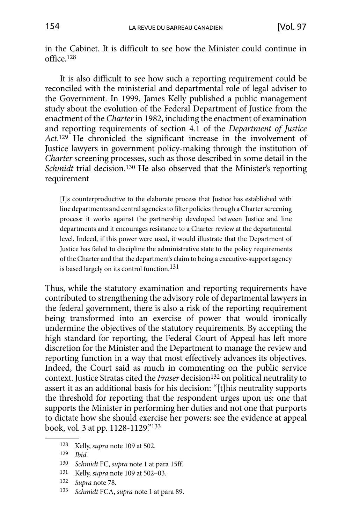in the Cabinet. It is difficult to see how the Minister could continue in office.128

It is also difficult to see how such a reporting requirement could be reconciled with the ministerial and departmental role of legal adviser to the Government. In 1999, James Kelly published a public management study about the evolution of the Federal Department of Justice from the enactment of the *Charter* in 1982, including the enactment of examination and reporting requirements of section 4.1 of the *Department of Justice Act*. 129 He chronicled the significant increase in the involvement of Justice lawyers in government policy-making through the institution of *Charter* screening processes, such as those described in some detail in the Schmidt trial decision.<sup>130</sup> He also observed that the Minister's reporting requirement

[I]s counterproductive to the elaborate process that Justice has established with line departments and central agencies to filter policies through a Charter screening process: it works against the partnership developed between Justice and line departments and it encourages resistance to a Charter review at the departmental level. Indeed, if this power were used, it would illustrate that the Department of Justice has failed to discipline the administrative state to the policy requirements of the Charter and that the department's claim to being a executive-support agency is based largely on its control function.<sup>131</sup>

Thus, while the statutory examination and reporting requirements have contributed to strengthening the advisory role of departmental lawyers in the federal government, there is also a risk of the reporting requirement being transformed into an exercise of power that would ironically undermine the objectives of the statutory requirements. By accepting the high standard for reporting, the Federal Court of Appeal has left more discretion for the Minister and the Department to manage the review and reporting function in a way that most effectively advances its objectives. Indeed, the Court said as much in commenting on the public service context. Justice Stratas cited the *Fraser* decision<sup>132</sup> on political neutrality to assert it as an additional basis for his decision: "[t]his neutrality supports the threshold for reporting that the respondent urges upon us: one that supports the Minister in performing her duties and not one that purports to dictate how she should exercise her powers: see the evidence at appeal book, vol. 3 at pp. 1128-1129."133

- 131 Kelly, *supra* note 109 at 502–03.
- 132 *Supra* note 78.
- 133 *Schmidt* FCA, *supra* note 1 at para 89.

<sup>128</sup> Kelly, *supra* note 109 at 502.

<sup>129</sup> *Ibid*.

<sup>130</sup> *Schmidt* FC, *supra* note 1 at para 15ff.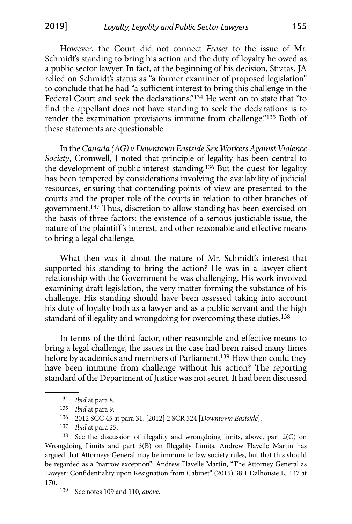However, the Court did not connect *Fraser* to the issue of Mr. Schmidt's standing to bring his action and the duty of loyalty he owed as a public sector lawyer. In fact, at the beginning of his decision, Stratas, JA relied on Schmidt's status as "a former examiner of proposed legislation" to conclude that he had "a sufficient interest to bring this challenge in the Federal Court and seek the declarations."134 He went on to state that "to find the appellant does not have standing to seek the declarations is to render the examination provisions immune from challenge."135 Both of these statements are questionable.

In the *Canada (AG) v Downtown Eastside Sex Workers Against Violence Society*, Cromwell, J noted that principle of legality has been central to the development of public interest standing.136 But the quest for legality has been tempered by considerations involving the availability of judicial resources, ensuring that contending points of view are presented to the courts and the proper role of the courts in relation to other branches of government.137 Thus, discretion to allow standing has been exercised on the basis of three factors: the existence of a serious justiciable issue, the nature of the plaintiff's interest, and other reasonable and effective means to bring a legal challenge.

What then was it about the nature of Mr. Schmidt's interest that supported his standing to bring the action? He was in a lawyer-client relationship with the Government he was challenging. His work involved examining draft legislation, the very matter forming the substance of his challenge. His standing should have been assessed taking into account his duty of loyalty both as a lawyer and as a public servant and the high standard of illegality and wrongdoing for overcoming these duties.<sup>138</sup>

In terms of the third factor, other reasonable and effective means to bring a legal challenge, the issues in the case had been raised many times before by academics and members of Parliament.<sup>139</sup> How then could they have been immune from challenge without his action? The reporting standard of the Department of Justice was not secret. It had been discussed

138 See the discussion of illegality and wrongdoing limits, above, part 2(C) on Wrongdoing Limits and part 3(B) on Illegality Limits. Andrew Flavelle Martin has argued that Attorneys General may be immune to law society rules, but that this should be regarded as a "narrow exception": Andrew Flavelle Martin, "The Attorney General as Lawyer: Confidentiality upon Resignation from Cabinet" (2015) 38:1 Dalhousie LJ 147 at 170.

139 See notes 109 and 110, *above*.

<sup>134</sup> *Ibid* at para 8.

<sup>135</sup> *Ibid* at para 9.

<sup>136</sup> 2012 SCC 45 at para 31, [2012] 2 SCR 524 [*Downtown Eastside*].

<sup>137</sup> *Ibid* at para 25.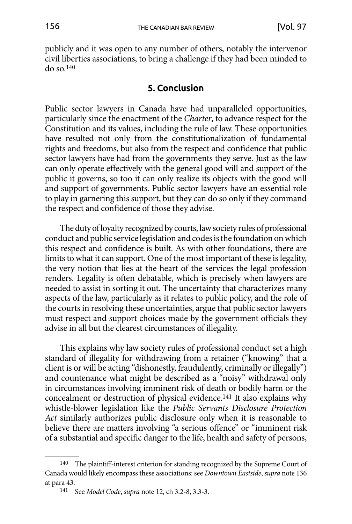<span id="page-27-0"></span>publicly and it was open to any number of others, notably the intervenor civil liberties associations, to bring a challenge if they had been minded to do so.140

### **5. Conclusion**

Public sector lawyers in Canada have had unparalleled opportunities, particularly since the enactment of the *Charter*, to advance respect for the Constitution and its values, including the rule of law. These opportunities have resulted not only from the constitutionalization of fundamental rights and freedoms, but also from the respect and confidence that public sector lawyers have had from the governments they serve. Just as the law can only operate effectively with the general good will and support of the public it governs, so too it can only realize its objects with the good will and support of governments. Public sector lawyers have an essential role to play in garnering this support, but they can do so only if they command the respect and confidence of those they advise.

The duty of loyalty recognized by courts, law society rules of professional conduct and public service legislation and codes is the foundation on which this respect and confidence is built. As with other foundations, there are limits to what it can support. One of the most important of these is legality, the very notion that lies at the heart of the services the legal profession renders. Legality is often debatable, which is precisely when lawyers are needed to assist in sorting it out. The uncertainty that characterizes many aspects of the law, particularly as it relates to public policy, and the role of the courts in resolving these uncertainties, argue that public sector lawyers must respect and support choices made by the government officials they advise in all but the clearest circumstances of illegality.

This explains why law society rules of professional conduct set a high standard of illegality for withdrawing from a retainer ("knowing" that a client is or will be acting "dishonestly, fraudulently, criminally or illegally") and countenance what might be described as a "noisy" withdrawal only in circumstances involving imminent risk of death or bodily harm or the concealment or destruction of physical evidence.141 It also explains why whistle-blower legislation like the *Public Servants Disclosure Protection Act* similarly authorizes public disclosure only when it is reasonable to believe there are matters involving "a serious offence" or "imminent risk of a substantial and specific danger to the life, health and safety of persons,

<sup>140</sup> The plaintiff-interest criterion for standing recognized by the Supreme Court of Canada would likely encompass these associations: see *Downtown Eastside*, *supra* note 136 at para 43.

<sup>141</sup> See *Model Code*, *supra* note 12, ch 3.2-8, 3.3-3.